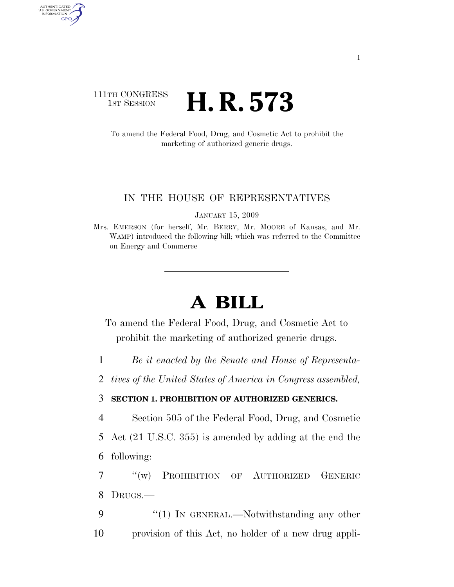## 111TH CONGRESS **1st Session H. R. 573**

AUTHENTICATED<br>U.S. GOVERNMENT<br>INFORMATION GPO

> To amend the Federal Food, Drug, and Cosmetic Act to prohibit the marketing of authorized generic drugs.

## IN THE HOUSE OF REPRESENTATIVES

JANUARY 15, 2009

Mrs. EMERSON (for herself, Mr. BERRY, Mr. MOORE of Kansas, and Mr. WAMP) introduced the following bill; which was referred to the Committee on Energy and Commerce

## **A BILL**

To amend the Federal Food, Drug, and Cosmetic Act to prohibit the marketing of authorized generic drugs.

1 *Be it enacted by the Senate and House of Representa-*

2 *tives of the United States of America in Congress assembled,* 

## 3 **SECTION 1. PROHIBITION OF AUTHORIZED GENERICS.**

4 Section 505 of the Federal Food, Drug, and Cosmetic

5 Act (21 U.S.C. 355) is amended by adding at the end the 6 following:

7 ''(w) PROHIBITION OF AUTHORIZED GENERIC 8 DRUGS.—

9 "(1) IN GENERAL.—Notwithstanding any other 10 provision of this Act, no holder of a new drug appli-